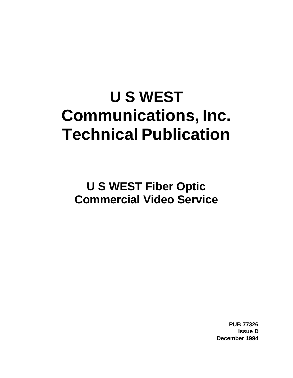# **U S WEST Communications, Inc. Technical Publication**

**U S WEST Fiber Optic Commercial Video Service**

> **PUB 77326 Issue D December 1994**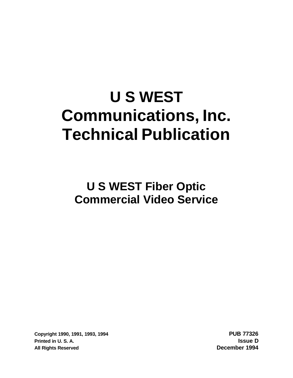# **U S WEST Communications, Inc. Technical Publication**

**U S WEST Fiber Optic Commercial Video Service**

**Copyright 1990, 1991, 1993, 1994 PUB 77326 Printed in U. S. A. Issue D All Rights Reserved December 1994**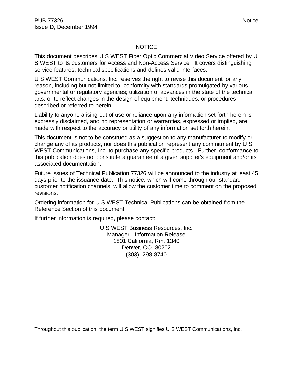#### NOTICE

This document describes U S WEST Fiber Optic Commercial Video Service offered by U S WEST to its customers for Access and Non-Access Service. It covers distinguishing service features, technical specifications and defines valid interfaces.

U S WEST Communications, Inc. reserves the right to revise this document for any reason, including but not limited to, conformity with standards promulgated by various governmental or regulatory agencies; utilization of advances in the state of the technical arts; or to reflect changes in the design of equipment, techniques, or procedures described or referred to herein.

Liability to anyone arising out of use or reliance upon any information set forth herein is expressly disclaimed, and no representation or warranties, expressed or implied, are made with respect to the accuracy or utility of any information set forth herein.

This document is not to be construed as a suggestion to any manufacturer to modify or change any of its products, nor does this publication represent any commitment by U S WEST Communications, Inc. to purchase any specific products. Further, conformance to this publication does not constitute a guarantee of a given supplier's equipment and/or its associated documentation.

Future issues of Technical Publication 77326 will be announced to the industry at least 45 days prior to the issuance date. This notice, which will come through our standard customer notification channels, will allow the customer time to comment on the proposed revisions.

Ordering information for U S WEST Technical Publications can be obtained from the Reference Section of this document.

If further information is required, please contact:

U S WEST Business Resources, Inc. Manager - Information Release 1801 California, Rm. 1340 Denver, CO 80202 (303) 298-8740

Throughout this publication, the term U S WEST signifies U S WEST Communications, Inc.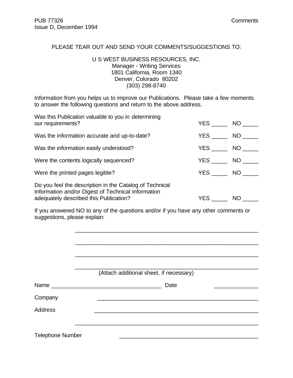#### PLEASE TEAR OUT AND SEND YOUR COMMENTS/SUGGESTIONS TO:

## U S WEST BUSINESS RESOURCES, INC. Manager - Writing Services 1801 California, Room 1340 Denver, Colorado 80202 (303) 298-8740

Information from you helps us to improve our Publications. Please take a few moments to answer the following questions and return to the above address.

| Was this Publication valuable to you in determining<br>our requirements?                                                                                | YES NO     |                 |
|---------------------------------------------------------------------------------------------------------------------------------------------------------|------------|-----------------|
| Was the information accurate and up-to-date?                                                                                                            | <b>YES</b> | NO <sub>1</sub> |
| Was the information easily understood?                                                                                                                  |            | NO <sub>1</sub> |
| Were the contents logically sequenced?                                                                                                                  |            | NO D            |
| Were the printed pages legible?                                                                                                                         | <b>YES</b> | NO <sub>2</sub> |
| Do you feel the description in the Catalog of Technical<br>Information and/or Digest of Technical Information<br>adequately described this Publication? | YES        | <b>NO</b>       |

If you answered NO to any of the questions and/or if you have any other comments or suggestions, please explain:

|                         | (Attach additional sheet, if necessary) |
|-------------------------|-----------------------------------------|
|                         | Date                                    |
| Company                 |                                         |
| <b>Address</b>          |                                         |
|                         |                                         |
| <b>Telephone Number</b> |                                         |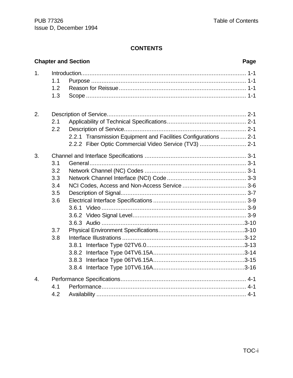# **CONTENTS**

|                  |                                        | <b>Chapter and Section</b>                                                                                               | Page |
|------------------|----------------------------------------|--------------------------------------------------------------------------------------------------------------------------|------|
| 1.               | 1.1<br>1.2<br>1.3                      |                                                                                                                          |      |
| 2.               | 2.1<br>2.2                             | 2.2.1 Transmission Equipment and Facilities Configurations  2-1<br>2.2.2 Fiber Optic Commercial Video Service (TV3)  2-1 |      |
| 3.               | 3.1<br>3.2<br>3.3<br>3.4<br>3.5<br>3.6 |                                                                                                                          |      |
|                  | 3.7<br>3.8                             |                                                                                                                          |      |
| $\overline{4}$ . | 4.1<br>4.2                             |                                                                                                                          |      |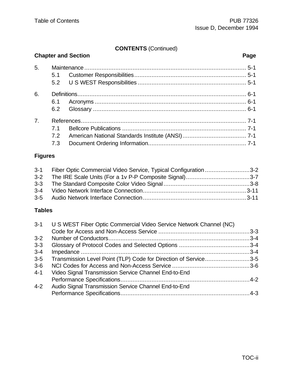# **CONTENTS** (Continued)

|                |     | <b>Chapter and Section</b> | Page |
|----------------|-----|----------------------------|------|
| 5.             |     |                            |      |
|                |     |                            |      |
|                |     |                            |      |
| 6.             |     |                            |      |
|                |     |                            |      |
|                | 6.2 |                            |      |
| 7 <sub>1</sub> |     |                            |      |
|                | 71  |                            |      |
|                | 7.2 |                            |      |
|                | 7.3 |                            |      |

# **Figures**

| 3-1 Fiber Optic Commercial Video Service, Typical Configuration 3-2 |  |
|---------------------------------------------------------------------|--|
| 3-2 The IRE Scale Units (For a 1v P-P Composite Signal)3-7          |  |
|                                                                     |  |
|                                                                     |  |
|                                                                     |  |

# **Tables**

| U S WEST Fiber Optic Commercial Video Service Network Channel (NC)<br>$3 - 1$ |  |
|-------------------------------------------------------------------------------|--|
|                                                                               |  |
| $3-2$                                                                         |  |
| $3-3$                                                                         |  |
| $3 - 4$                                                                       |  |
| Transmission Level Point (TLP) Code for Direction of Service3-5<br>$3-5$      |  |
| $3-6$                                                                         |  |
| $4 - 1$<br>Video Signal Transmission Service Channel End-to-End               |  |
|                                                                               |  |
| $4 - 2$<br>Audio Signal Transmission Service Channel End-to-End               |  |
|                                                                               |  |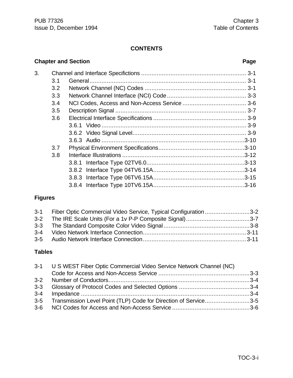# **CONTENTS**

# 3. Channel and Interface Specifictions ............................................................. 3-1 3.1 General........................................................................................... 3-1 3.2 Network Channel (NC) Codes ........................................................... 3-1 3.3 Network Channel Interface (NCI) Code .............................................. 3-3 3.4 NCI Codes, Access and Non-Access Service ..................................... 3-6 3.5 Description Signal ............................................................................ 3-7 3.6 Electrical Interface Specifications ...................................................... 3-9 3.6.1 Video .................................................................................... 3-9 3.6.2 Video Signal Level.................................................................. 3-9 3.6.3 Audio ...................................................................................3-10 3.7 Physical Environment Specifications..................................................3-10 3.8 Interface Illustrations .......................................................................3-12 3.8.1 Interface Type 02TV6.0.........................................................3-13 3.8.2 Interface Type 04TV6.15A.....................................................3-14 3.8.3 Interface Type 06TV6.15A.....................................................3-15 3.8.4 Interface Type 10TV6.15A.....................................................3-16

# **Figures**

| 3-1 Fiber Optic Commercial Video Service, Typical Configuration3-2 |  |
|--------------------------------------------------------------------|--|
| 3-2 The IRE Scale Units (For a 1v P-P Composite Signal)3-7         |  |
|                                                                    |  |
|                                                                    |  |
|                                                                    |  |

#### **Tables**

| 3-1 U S WEST Fiber Optic Commercial Video Service Network Channel (NC) |                                                                     |  |
|------------------------------------------------------------------------|---------------------------------------------------------------------|--|
|                                                                        |                                                                     |  |
|                                                                        |                                                                     |  |
|                                                                        |                                                                     |  |
|                                                                        |                                                                     |  |
|                                                                        | 3-5 Transmission Level Point (TLP) Code for Direction of Service3-5 |  |
|                                                                        |                                                                     |  |

#### **Chapter and Section Page**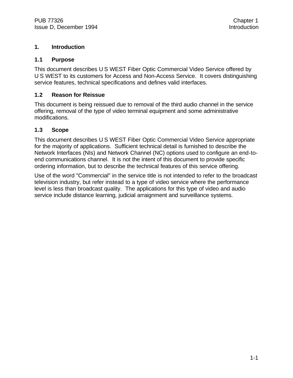## **1. Introduction**

#### **1.1 Purpose**

This document describes U S WEST Fiber Optic Commercial Video Service offered by U S WEST to its customers for Access and Non-Access Service. It covers distinguishing service features, technical specifications and defines valid interfaces.

#### **1.2 Reason for Reissue**

This document is being reissued due to removal of the third audio channel in the service offering, removal of the type of video terminal equipment and some administrative modifications.

# **1.3 Scope**

This document describes U S WEST Fiber Optic Commercial Video Service appropriate for the majority of applications. Sufficient technical detail is furnished to describe the Network Interfaces (NIs) and Network Channel (NC) options used to configure an end-toend communications channel. It is not the intent of this document to provide specific ordering information, but to describe the technical features of this service offering.

Use of the word "Commercial" in the service title is not intended to refer to the broadcast television industry, but refer instead to a type of video service where the performance level is less than broadcast quality. The applications for this type of video and audio service include distance learning, judicial arraignment and surveillance systems.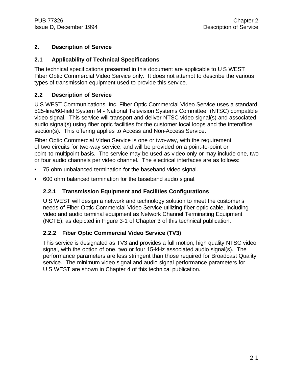# **2. Description of Service**

# **2.1 Applicability of Technical Specifications**

The technical specifications presented in this document are applicable to U S WEST Fiber Optic Commercial Video Service only. It does not attempt to describe the various types of transmission equipment used to provide this service.

# **2.2 Description of Service**

U S WEST Communications, Inc. Fiber Optic Commercial Video Service uses a standard 525-line/60-field System M - National Television Systems Committee (NTSC) compatible video signal. This service will transport and deliver NTSC video signal(s) and associated audio signal(s) using fiber optic facilities for the customer local loops and the interoffice section(s). This offering applies to Access and Non-Access Service.

Fiber Optic Commercial Video Service is one or two-way, with the requirement of two circuits for two-way service, and will be provided on a point-to-point or point-to-multipoint basis. The service may be used as video only or may include one, two or four audio channels per video channel. The electrical interfaces are as follows:

- 75 ohm unbalanced termination for the baseband video signal.
- 600 ohm balanced termination for the baseband audio signal.

# **2.2.1 Transmission Equipment and Facilities Configurations**

U S WEST will design a network and technology solution to meet the customer's needs of Fiber Optic Commercial Video Service utilizing fiber optic cable, including video and audio terminal equipment as Network Channel Terminating Equipment (NCTE), as depicted in Figure 3-1 of Chapter 3 of this technical publication.

# **2.2.2 Fiber Optic Commercial Video Service (TV3)**

This service is designated as TV3 and provides a full motion, high quality NTSC video signal, with the option of one, two or four 15-kHz associated audio signal(s). The performance parameters are less stringent than those required for Broadcast Quality service. The minimum video signal and audio signal performance parameters for U S WEST are shown in Chapter 4 of this technical publication.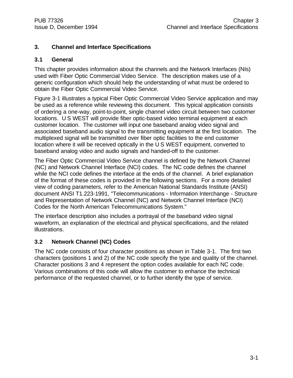# **3. Channel and Interface Specifications**

# **3.1 General**

This chapter provides information about the channels and the Network Interfaces (NIs) used with Fiber Optic Commercial Video Service. The description makes use of a generic configuration which should help the understanding of what must be ordered to obtain the Fiber Optic Commercial Video Service.

Figure 3-1 illustrates a typical Fiber Optic Commercial Video Service application and may be used as a reference while reviewing this document. This typical application consists of ordering a one-way, point-to-point, single channel video circuit between two customer locations. U S WEST will provide fiber optic-based video terminal equipment at each customer location. The customer will input one baseband analog video signal and associated baseband audio signal to the transmitting equipment at the first location. The multiplexed signal will be transmitted over fiber optic facilities to the end customer location where it will be received optically in the U S WEST equipment, converted to baseband analog video and audio signals and handed-off to the customer.

The Fiber Optic Commercial Video Service channel is defined by the Network Channel (NC) and Network Channel Interface (NCI) codes. The NC code defines the channel while the NCI code defines the interface at the ends of the channel. A brief explanation of the format of these codes is provided in the following sections. For a more detailed view of coding parameters, refer to the American National Standards Institute (ANSI) document ANSI T1.223-1991, "Telecommunications - Information Interchange - Structure and Representation of Network Channel (NC) and Network Channel Interface (NCI) Codes for the North American Telecommunications System."

The interface description also includes a portrayal of the baseband video signal waveform, an explanation of the electrical and physical specifications, and the related illustrations.

# **3.2 Network Channel (NC) Codes**

The NC code consists of four character positions as shown in Table 3-1. The first two characters (positions 1 and 2) of the NC code specify the type and quality of the channel. Character positions 3 and 4 represent the option codes available for each NC code. Various combinations of this code will allow the customer to enhance the technical performance of the requested channel, or to further identify the type of service.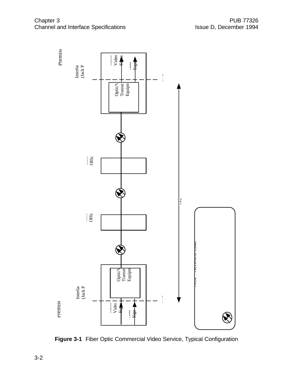

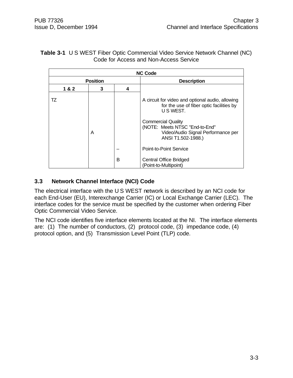# **Table 3-1** U S WEST Fiber Optic Commercial Video Service Network Channel (NC) Code for Access and Non-Access Service

| <b>NC Code</b> |                 |   |                                                                                                                                                                                                                |  |
|----------------|-----------------|---|----------------------------------------------------------------------------------------------------------------------------------------------------------------------------------------------------------------|--|
|                | <b>Position</b> |   | <b>Description</b>                                                                                                                                                                                             |  |
| 1&2            | 3               | 4 |                                                                                                                                                                                                                |  |
| TZ             | A               |   | A circuit for video and optional audio, allowing<br>for the use of fiber optic facilities by<br>U S WEST.<br><b>Commercial Quality</b><br>(NOTE: Meets NTSC "End-to-End"<br>Video/Audio Signal Performance per |  |
|                |                 |   | ANSI T1.502-1988.)                                                                                                                                                                                             |  |
|                |                 |   | Point-to-Point Service                                                                                                                                                                                         |  |
|                |                 | B | <b>Central Office Bridged</b><br>(Point-to-Multipoint)                                                                                                                                                         |  |

# **3.3 Network Channel Interface (NCI) Code**

The electrical interface with the U S WEST network is described by an NCI code for each End-User (EU), Interexchange Carrier (IC) or Local Exchange Carrier (LEC). The interface codes for the service must be specified by the customer when ordering Fiber Optic Commercial Video Service.

The NCI code identifies five interface elements located at the NI. The interface elements are: (1) The number of conductors, (2) protocol code, (3) impedance code, (4) protocol option, and (5) Transmission Level Point (TLP) code.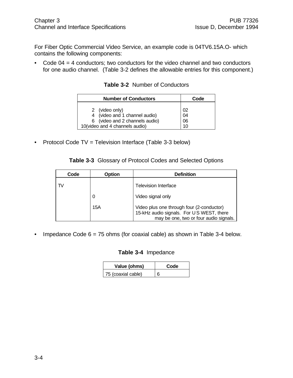For Fiber Optic Commercial Video Service, an example code is 04TV6.15A.O- which contains the following components:

• Code 04 = 4 conductors; two conductors for the video channel and two conductors for one audio channel. (Table 3-2 defines the allowable entries for this component.)

**Table 3-2** Number of Conductors

| <b>Number of Conductors</b>    | Code |
|--------------------------------|------|
| 2 (video only)                 | 02   |
| 4 (video and 1 channel audio)  | 04   |
| 6 (video and 2 channels audio) | 06   |
| 10(video and 4 channels audio) | 10   |

• Protocol Code TV = Television Interface (Table 3-3 below)

| Code | <b>Option</b> | <b>Definition</b>                                                                                                               |
|------|---------------|---------------------------------------------------------------------------------------------------------------------------------|
| TV   |               | <b>Television Interface</b>                                                                                                     |
|      | O             | Video signal only                                                                                                               |
|      | 15A           | Video plus one through four (2-conductor)<br>15-kHz audio signals. For US WEST, there<br>may be one, two or four audio signals. |

• Impedance Code  $6 = 75$  ohms (for coaxial cable) as shown in Table 3-4 below.

#### **Table 3-4** Impedance

| Value (ohms)       | Code |
|--------------------|------|
| 75 (coaxial cable) | 6    |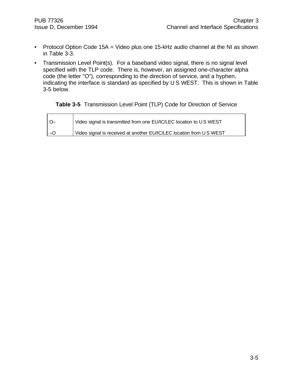$\mathbf{r}$ 

- Protocol Option Code 15A = Video plus one 15-kHz audio channel at the NI as shown in Table 3-3.
- Transmission Level Point(s). For a baseband video signal, there is no signal level specified with the TLP code. There is, however, an assigned one-character alpha code (the letter "O"), corresponding to the direction of service, and a hyphen, indicating the interface is standard as specified by U S WEST. This is shown in Table 3-5 below.

#### **Table 3-5** Transmission Level Point (TLP) Code for Direction of Service

| Video signal is transmitted from one EU/IC/LEC location to US WEST  |
|---------------------------------------------------------------------|
| Video signal is received at another EU/IC/LEC location from US WEST |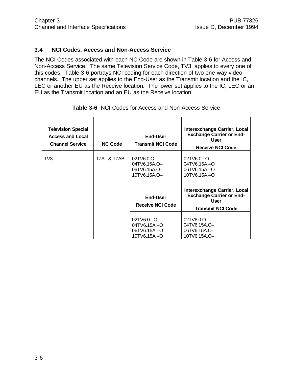#### **3.4 NCI Codes, Access and Non-Access Service**

The NCI Codes associated with each NC Code are shown in Table 3-6 for Access and Non-Access Service. The same Television Service Code, TV3, applies to every one of this codes. Table 3-6 portrays NCI coding for each direction of two one-way video channels. The upper set applies to the End-User as the Transmit location and the IC, LEC or another EU as the Receive location. The lower set applies to the IC, LEC or an EU as the Transmit location and an EU as the Receive location.

| <b>Television Special</b><br><b>Access and Local</b><br><b>Channel Service</b> | <b>NC Code</b> | End-User<br><b>Transmit NCI Code</b>                             | Interexchange Carrier, Local<br><b>Exchange Carrier or End-</b><br>User<br><b>Receive NCI Code</b>         |
|--------------------------------------------------------------------------------|----------------|------------------------------------------------------------------|------------------------------------------------------------------------------------------------------------|
| TV3                                                                            | TZA– & TZAB    | $02$ TV6.0.O $-$<br>04TV6.15A.O-<br>06TV6.15A.O-<br>10TV6.15A.O- | $02$ TV6.0. $-$ O<br>04TV6.15A-O<br>06TV6.15A .- O<br>10TV6.15A.-O                                         |
|                                                                                |                | End-User<br><b>Receive NCI Code</b>                              | Interexchange Carrier, Local<br><b>Exchange Carrier or End-</b><br><b>User</b><br><b>Transmit NCI Code</b> |
|                                                                                |                | 02TV6.0-O<br>04TV6.15A.-O<br>06TV6.15A-O<br>10TV6.15A.-O         | $02$ TV6.0.O $-$<br>04TV6.15A.O-<br>06TV6.15A.O-<br>10TV6.15A.O-                                           |

**Table 3-6** NCI Codes for Access and Non-Access Service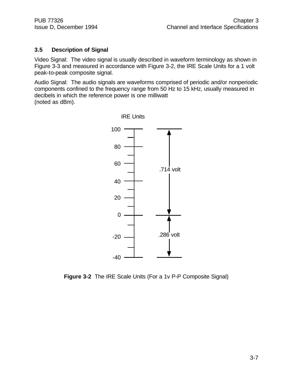# **3.5 Description of Signal**

Video Signal: The video signal is usually described in waveform terminology as shown in Figure 3-3 and measured in accordance with Figure 3-2, the IRE Scale Units for a 1 volt peak-to-peak composite signal.

Audio Signal: The audio signals are waveforms comprised of periodic and/or nonperiodic components confined to the frequency range from 50 Hz to 15 kHz, usually measured in decibels in which the reference power is one milliwatt (noted as dBm).



**Figure 3-2** The IRE Scale Units (For a 1v P-P Composite Signal)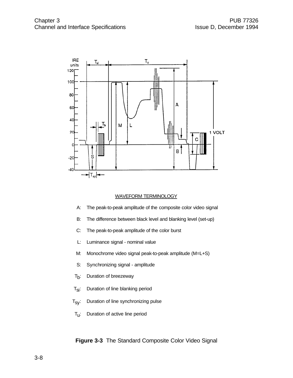

#### WAVEFORM TERMINOLOGY

- A: The peak-to-peak amplitude of the composite color video signal
- B: The difference between black level and blanking level (set-up)
- C: The peak-to-peak amplitude of the color burst
- L: Luminance signal nominal value
- M: Monochrome video signal peak-to-peak amplitude (M=L+S)
- S: Synchronizing signal amplitude
- $T_{b}$ : : Duration of breezeway
- $T_{\text{Si}}$ : Duration of line blanking period
- $T_{SV}$ : Duration of line synchronizing pulse
- $T_{\mathsf{u}}$ : : Duration of active line period

**Figure 3-3** The Standard Composite Color Video Signal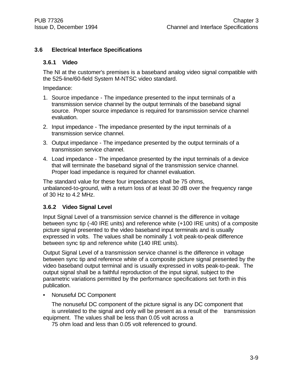# **3.6 Electrical Interface Specifications**

#### **3.6.1 Video**

The NI at the customer's premises is a baseband analog video signal compatible with the 525-line/60-field System M-NTSC video standard.

Impedance:

- 1. Source impedance The impedance presented to the input terminals of a transmission service channel by the output terminals of the baseband signal source. Proper source impedance is required for transmission service channel evaluation.
- 2. Input impedance The impedance presented by the input terminals of a transmission service channel.
- 3. Output impedance The impedance presented by the output terminals of a transmission service channel.
- 4. Load impedance The impedance presented by the input terminals of a device that will terminate the baseband signal of the transmission service channel. Proper load impedance is required for channel evaluation.

The standard value for these four impedances shall be 75 ohms, unbalanced-to-ground, with a return loss of at least 30 dB over the frequency range of 30 Hz to 4.2 MHz.

#### **3.6.2 Video Signal Level**

Input Signal Level of a transmission service channel is the difference in voltage between sync tip (-40 IRE units) and reference white (+100 IRE units) of a composite picture signal presented to the video baseband input terminals and is usually expressed in volts. The values shall be nominally 1 volt peak-to-peak difference between sync tip and reference white (140 IRE units).

Output Signal Level of a transmission service channel is the difference in voltage between sync tip and reference white of a composite picture signal presented by the video baseband output terminal and is usually expressed in volts peak-to-peak. The output signal shall be a faithful reproduction of the input signal, subject to the parametric variations permitted by the performance specifications set forth in this publication.

• Nonuseful DC Component

The nonuseful DC component of the picture signal is any DC component that is unrelated to the signal and only will be present as a result of the transmission equipment. The values shall be less than 0.05 volt across a

75 ohm load and less than 0.05 volt referenced to ground.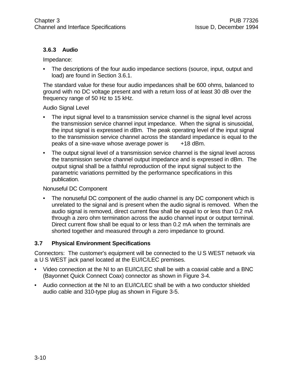# **3.6.3 Audio**

Impedance:

• The descriptions of the four audio impedance sections (source, input, output and load) are found in Section 3.6.1.

The standard value for these four audio impedances shall be 600 ohms, balanced to ground with no DC voltage present and with a return loss of at least 30 dB over the frequency range of 50 Hz to 15 kHz.

#### Audio Signal Level

- The input signal level to a transmission service channel is the signal level across the transmission service channel input impedance. When the signal is sinusoidal, the input signal is expressed in dBm. The peak operating level of the input signal to the transmission service channel across the standard impedance is equal to the peaks of a sine-wave whose average power is +18 dBm.
- The output signal level of a transmission service channel is the signal level across the transmission service channel output impedance and is expressed in dBm. The output signal shall be a faithful reproduction of the input signal subject to the parametric variations permitted by the performance specifications in this publication.

#### Nonuseful DC Component

• The nonuseful DC component of the audio channel is any DC component which is unrelated to the signal and is present when the audio signal is removed. When the audio signal is removed, direct current flow shall be equal to or less than 0.2 mA through a zero ohm termination across the audio channel input or output terminal. Direct current flow shall be equal to or less than 0.2 mA when the terminals are shorted together and measured through a zero impedance to ground.

# **3.7 Physical Environment Specifications**

Connectors: The customer's equipment will be connected to the U S WEST network via a U S WEST jack panel located at the EU/IC/LEC premises.

- Video connection at the NI to an EU/IC/LEC shall be with a coaxial cable and a BNC (Bayonnet Quick Connect Coax) connector as shown in Figure 3-4.
- Audio connection at the NI to an EU/IC/LEC shall be with a two conductor shielded audio cable and 310-type plug as shown in Figure 3-5.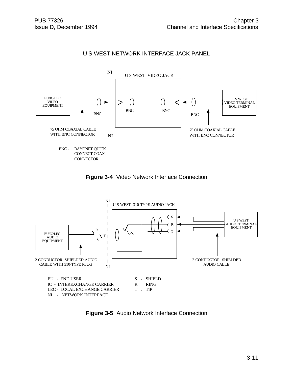# U S WEST NETWORK INTERFACE JACK PANEL







**Figure 3-5** Audio Network Interface Connection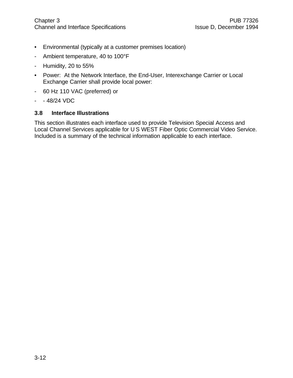- Environmental (typically at a customer premises location)
- Ambient temperature, 40 to 100°F
- Humidity, 20 to 55%
- Power: At the Network Interface, the End-User, Interexchange Carrier or Local Exchange Carrier shall provide local power:
- 60 Hz 110 VAC (preferred) or
- $48/24$  VDC

#### **3.8 Interface Illustrations**

This section illustrates each interface used to provide Television Special Access and Local Channel Services applicable for U S WEST Fiber Optic Commercial Video Service. Included is a summary of the technical information applicable to each interface.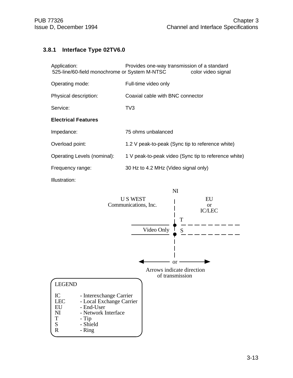# **3.8.1 Interface Type 02TV6.0**

| Application:<br>525-line/60-field monochrome or System M-NTSC | Provides one-way transmission of a standard          | color video signal |
|---------------------------------------------------------------|------------------------------------------------------|--------------------|
| Operating mode:                                               | Full-time video only                                 |                    |
| Physical description:                                         | Coaxial cable with BNC connector                     |                    |
| Service:                                                      | TV3                                                  |                    |
| <b>Electrical Features</b>                                    |                                                      |                    |
| Impedance:                                                    | 75 ohms unbalanced                                   |                    |
| Overload point:                                               | 1.2 V peak-to-peak (Sync tip to reference white)     |                    |
| Operating Levels (nominal):                                   | 1 V peak-to-peak video (Sync tip to reference white) |                    |
| Frequency range:                                              | 30 Hz to 4.2 MHz (Video signal only)                 |                    |
|                                                               |                                                      |                    |

Illustration:

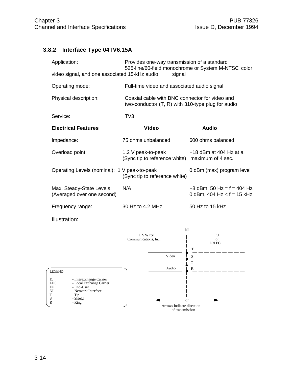# **3.8.2 Interface Type 04TV6.15A**

| Application:                                            | Provides one-way transmission of a standard<br>525-line/60-field monochrome or System M-NTSC color    |                                                                 |
|---------------------------------------------------------|-------------------------------------------------------------------------------------------------------|-----------------------------------------------------------------|
| video signal, and one associated 15-kHz audio           | signal                                                                                                |                                                                 |
| Operating mode:                                         | Full-time video and associated audio signal                                                           |                                                                 |
| Physical description:                                   | Coaxial cable with BNC connector for video and<br>two-conductor $(T, R)$ with 310-type plug for audio |                                                                 |
| Service:                                                | TV3                                                                                                   |                                                                 |
| <b>Electrical Features</b>                              | <b>Video</b>                                                                                          | <b>Audio</b>                                                    |
| Impedance:                                              | 75 ohms unbalanced                                                                                    | 600 ohms balanced                                               |
| Overload point:                                         | 1.2 V peak-to-peak<br>(Sync tip to reference white) maximum of 4 sec.                                 | $+18$ dBm at 404 Hz at a                                        |
| Operating Levels (nominal): 1 V peak-to-peak            | (Sync tip to reference white)                                                                         | 0 dBm (max) program level                                       |
| Max. Steady-State Levels:<br>(Averaged over one second) | N/A                                                                                                   | $+8$ dBm, 50 Hz = f = 404 Hz<br>0 dBm, $404$ Hz $ < f = 15$ kHz |
| Frequency range:                                        | 30 Hz to 4.2 MHz                                                                                      | 50 Hz to 15 kHz                                                 |

Illustration:

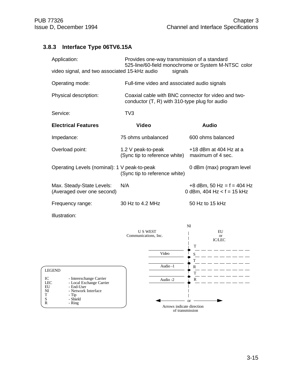# **3.8.3 Interface Type 06TV6.15A**

| Application:                                            | Provides one-way transmission of a standard<br>525-line/60-field monochrome or System M-NTSC color     |                                                              |
|---------------------------------------------------------|--------------------------------------------------------------------------------------------------------|--------------------------------------------------------------|
| video signal, and two associated 15-kHz audio           | signals                                                                                                |                                                              |
| Operating mode:                                         | Full-time video and associated audio signals                                                           |                                                              |
| Physical description:                                   | Coaxial cable with BNC connector for video and two-<br>conductor $(T, R)$ with 310-type plug for audio |                                                              |
| Service:                                                | TV <sub>3</sub>                                                                                        |                                                              |
| <b>Electrical Features</b>                              | Video                                                                                                  | <b>Audio</b>                                                 |
| Impedance:                                              | 75 ohms unbalanced                                                                                     | 600 ohms balanced                                            |
| Overload point:                                         | 1.2 V peak-to-peak<br>(Sync tip to reference white)                                                    | $+18$ dBm at 404 Hz at a<br>maximum of 4 sec.                |
| Operating Levels (nominal): 1 V peak-to-peak            | (Sync tip to reference white)                                                                          | 0 dBm (max) program level                                    |
| Max. Steady-State Levels:<br>(Averaged over one second) | N/A                                                                                                    | $+8$ dBm, 50 Hz = f = 404 Hz<br>0 dBm, 404 Hz < $f = 15$ kHz |
| Frequency range:                                        | 30 Hz to 4.2 MHz                                                                                       | 50 Hz to 15 kHz                                              |

Illustration:

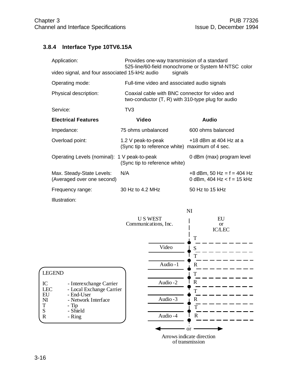# **3.8.4 Interface Type 10TV6.15A**

| Application:                                            | Provides one-way transmission of a standard                                                           | 525-line/60-field monochrome or System M-NTSC color           |
|---------------------------------------------------------|-------------------------------------------------------------------------------------------------------|---------------------------------------------------------------|
| video signal, and four associated 15-kHz audio          | signals                                                                                               |                                                               |
| Operating mode:                                         | Full-time video and associated audio signals                                                          |                                                               |
| Physical description:                                   | Coaxial cable with BNC connector for video and<br>two-conductor $(T, R)$ with 310-type plug for audio |                                                               |
| Service:                                                | TV <sub>3</sub>                                                                                       |                                                               |
| <b>Electrical Features</b>                              | <b>Video</b>                                                                                          | <b>Audio</b>                                                  |
| Impedance:                                              | 75 ohms unbalanced                                                                                    | 600 ohms balanced                                             |
| Overload point:                                         | 1.2 V peak-to-peak<br>(Sync tip to reference white) maximum of 4 sec.                                 | $+18$ dBm at 404 Hz at a                                      |
| Operating Levels (nominal): 1 V peak-to-peak            | (Sync tip to reference white)                                                                         | 0 dBm (max) program level                                     |
| Max. Steady-State Levels:<br>(Averaged over one second) | N/A                                                                                                   | $+8$ dBm, 50 Hz = f = 404 Hz<br>0 dBm, 404 Hz $ < f = 15$ kHz |
| Frequency range:                                        | 30 Hz to 4.2 MHz                                                                                      | 50 Hz to 15 kHz                                               |
| Illustration:                                           |                                                                                                       |                                                               |

|                                                            |                         |                                        | NI            |                                  |  |
|------------------------------------------------------------|-------------------------|----------------------------------------|---------------|----------------------------------|--|
|                                                            |                         | <b>US WEST</b><br>Communications, Inc. |               | EU<br><b>or</b><br><b>IC/LEC</b> |  |
|                                                            |                         | Video                                  | T<br>S<br>T   |                                  |  |
|                                                            |                         | Audio-1                                | $\mathbb{R}$  |                                  |  |
| <b>LEGEND</b>                                              |                         |                                        | T             |                                  |  |
| IC                                                         | - Interexchange Carrier | Audio-2                                | $\mathbf R$   |                                  |  |
| <b>LEC</b><br>- Local Exchange Carrier<br>EU<br>- End-User |                         |                                        |               |                                  |  |
| $\mathbf{N}$                                               | - Network Interface     | Audio - 3                              | R             |                                  |  |
| $\mathbf T$<br>S                                           | $-Tip$<br>- Shield      |                                        | T             |                                  |  |
| $\mathbb{R}$                                               | - Ring                  | Audio-4                                | $\mathbf R$   |                                  |  |
|                                                            |                         |                                        | <sub>or</sub> |                                  |  |
|                                                            |                         | Arrows indicate direction              |               |                                  |  |

of transmission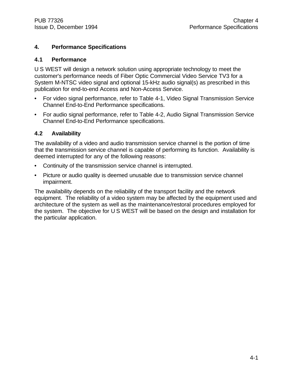# **4. Performance Specifications**

#### **4.1 Performance**

U S WEST will design a network solution using appropriate technology to meet the customer's performance needs of Fiber Optic Commercial Video Service TV3 for a System M-NTSC video signal and optional 15-kHz audio signal(s) as prescribed in this publication for end-to-end Access and Non-Access Service.

- For video signal performance, refer to Table 4-1, Video Signal Transmission Service Channel End-to-End Performance specifications.
- For audio signal performance, refer to Table 4-2, Audio Signal Transmission Service Channel End-to-End Performance specifications.

#### **4.2 Availability**

The availability of a video and audio transmission service channel is the portion of time that the transmission service channel is capable of performing its function. Availability is deemed interrupted for any of the following reasons:

- Continuity of the transmission service channel is interrupted.
- Picture or audio quality is deemed unusable due to transmission service channel impairment.

The availability depends on the reliability of the transport facility and the network equipment. The reliability of a video system may be affected by the equipment used and architecture of the system as well as the maintenance/restoral procedures employed for the system. The objective for U S WEST will be based on the design and installation for the particular application.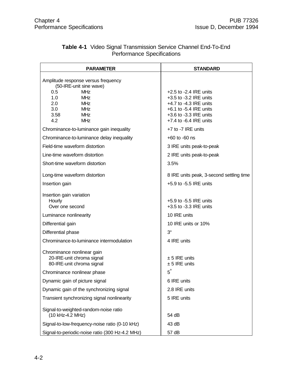| <b>PARAMETER</b>                                                                                                                                                                              | <b>STANDARD</b>                                                                                                                                                      |
|-----------------------------------------------------------------------------------------------------------------------------------------------------------------------------------------------|----------------------------------------------------------------------------------------------------------------------------------------------------------------------|
| Amplitude response versus frequency<br>(50-IRE-unit sine wave)<br><b>MHz</b><br>0.5<br>1.0<br><b>MHz</b><br>2.0<br><b>MHz</b><br>3.0<br><b>MHz</b><br>3.58<br><b>MHz</b><br>4.2<br><b>MHz</b> | $+2.5$ to $-2.4$ IRE units<br>+3.5 to -3.2 IRE units<br>+4.7 to -4.3 IRE units<br>$+6.1$ to $-5.4$ IRE units<br>+3.6 to -3.3 IRE units<br>$+7.4$ to $-6.4$ IRE units |
| Chrominance-to-luminance gain inequality                                                                                                                                                      | $+7$ to $-7$ IRE units                                                                                                                                               |
| Chrominance-to-luminance delay inequality                                                                                                                                                     | $+60$ to $-60$ ns                                                                                                                                                    |
| Field-time waveform distortion                                                                                                                                                                | 3 IRE units peak-to-peak                                                                                                                                             |
| Line-time waveform distortion                                                                                                                                                                 | 2 IRE units peak-to-peak                                                                                                                                             |
| Short-time waveform distortion                                                                                                                                                                | 3.5%                                                                                                                                                                 |
| Long-time waveform distortion                                                                                                                                                                 | 8 IRE units peak, 3-second settling time                                                                                                                             |
| Insertion gain                                                                                                                                                                                | $+5.9$ to $-5.5$ IRE units                                                                                                                                           |
| Insertion gain variation<br>Hourly<br>Over one second                                                                                                                                         | $+5.9$ to $-5.5$ IRE units<br>$+3.5$ to $-3.3$ IRE units                                                                                                             |
| Luminance nonlinearity                                                                                                                                                                        | 10 IRE units                                                                                                                                                         |
| Differential gain                                                                                                                                                                             | 10 IRE units or 10%                                                                                                                                                  |
| Differential phase                                                                                                                                                                            | $3^{\circ}$                                                                                                                                                          |
| Chrominance-to-luminance intermodulation                                                                                                                                                      | 4 IRE units                                                                                                                                                          |
| Chrominance nonlinear gain<br>20-IRE-unit chroma signal<br>80-IRE-unit chroma signal                                                                                                          | $± 5$ IRE units<br>$± 5$ IRE units                                                                                                                                   |
| Chrominance nonlinear phase                                                                                                                                                                   | $5^{\circ}$                                                                                                                                                          |
| Dynamic gain of picture signal                                                                                                                                                                | 6 IRE units                                                                                                                                                          |
| Dynamic gain of the synchronizing signal                                                                                                                                                      | 2.8 IRE units                                                                                                                                                        |
| Transient synchronizing signal nonlinearity                                                                                                                                                   | 5 IRE units                                                                                                                                                          |
| Signal-to-weighted-random-noise ratio<br>(10 kHz-4.2 MHz)                                                                                                                                     | 54 dB                                                                                                                                                                |
| Signal-to-low-frequency-noise ratio (0-10 kHz)                                                                                                                                                | 43 dB                                                                                                                                                                |
| Signal-to-periodic-noise ratio (300 Hz-4.2 MHz)                                                                                                                                               | 57 dB                                                                                                                                                                |

# **Table 4-1** Video Signal Transmission Service Channel End-To-End Performance Specifications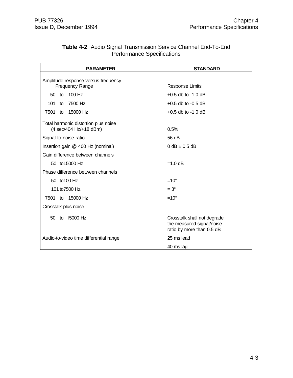| <b>Table 4-2</b> Audio Signal Transmission Service Channel End-To-End |
|-----------------------------------------------------------------------|
| <b>Performance Specifications</b>                                     |

| <b>PARAMETER</b>                                               | <b>STANDARD</b>                                                                       |
|----------------------------------------------------------------|---------------------------------------------------------------------------------------|
| Amplitude response versus frequency<br><b>Frequency Range</b>  | <b>Response Limits</b>                                                                |
| 100 Hz<br>50 <sub>to</sub>                                     | $+0.5$ db to $-1.0$ dB                                                                |
|                                                                |                                                                                       |
| 7500 Hz<br>101<br>to                                           | $+0.5$ db to $-0.5$ dB                                                                |
| to 15000 Hz<br>7501                                            | $+0.5$ db to $-1.0$ dB                                                                |
| Total harmonic distortion plus noise<br>(4 sec/404 Hz/+18 dBm) | 0.5%                                                                                  |
| Signal-to-noise ratio                                          | 56 dB                                                                                 |
| Insertion gain @ 400 Hz (nominal)                              | $0 dB \pm 0.5 dB$                                                                     |
| Gain difference between channels                               |                                                                                       |
| 50 to15000 Hz                                                  | $=1.0$ dB                                                                             |
| Phase difference between channels                              |                                                                                       |
| 50 to 100 Hz                                                   | $=10^{\circ}$                                                                         |
| 101 to 7500 Hz                                                 | $=3^\circ$                                                                            |
| 7501 to 15000 Hz                                               | $=10^{\circ}$                                                                         |
| Crosstalk plus noise                                           |                                                                                       |
| 15000 Hz<br>50 to                                              | Crosstalk shall not degrade<br>the measured signal/noise<br>ratio by more than 0.5 dB |
| Audio-to-video time differential range                         | 25 ms lead                                                                            |
|                                                                | 40 ms lag                                                                             |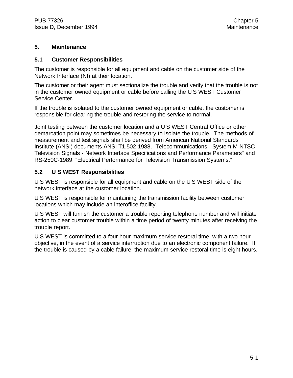# **5. Maintenance**

### **5.1 Customer Responsibilities**

The customer is responsible for all equipment and cable on the customer side of the Network Interface (NI) at their location.

The customer or their agent must sectionalize the trouble and verify that the trouble is not in the customer owned equipment or cable before calling the U S WEST Customer Service Center.

If the trouble is isolated to the customer owned equipment or cable, the customer is responsible for clearing the trouble and restoring the service to normal.

Joint testing between the customer location and a U S WEST Central Office or other demarcation point may sometimes be necessary to isolate the trouble. The methods of measurement and test signals shall be derived from American National Standards Institute (ANSI) documents ANSI T1.502-1988, "Telecommunications - System M-NTSC Television Signals - Network Interface Specifications and Performance Parameters" and RS-250C-1989, "Electrical Performance for Television Transmission Systems."

# **5.2 U S WEST Responsibilities**

U S WEST is responsible for all equipment and cable on the U S WEST side of the network interface at the customer location.

U S WEST is responsible for maintaining the transmission facility between customer locations which may include an interoffice facility.

U S WEST will furnish the customer a trouble reporting telephone number and will initiate action to clear customer trouble within a time period of twenty minutes after receiving the trouble report.

U S WEST is committed to a four hour maximum service restoral time, with a two hour objective, in the event of a service interruption due to an electronic component failure. If the trouble is caused by a cable failure, the maximum service restoral time is eight hours.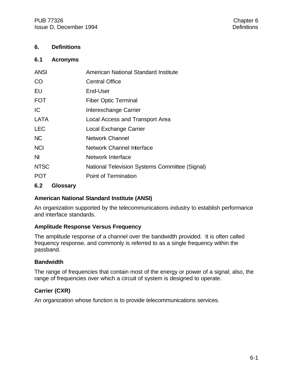# **6. Definitions**

#### **6.1 Acronyms**

| <b>ANSI</b> | American National Standard Institute           |
|-------------|------------------------------------------------|
| <b>CO</b>   | <b>Central Office</b>                          |
| EU          | End-User                                       |
| <b>FOT</b>  | <b>Fiber Optic Terminal</b>                    |
| IC          | Interexchange Carrier                          |
| LATA        | Local Access and Transport Area                |
| <b>LEC</b>  | <b>Local Exchange Carrier</b>                  |
| <b>NC</b>   | Network Channel                                |
| <b>NCI</b>  | <b>Network Channel Interface</b>               |
| NI.         | Network Interface                              |
| <b>NTSC</b> | National Television Systems Committee (Signal) |
| <b>POT</b>  | Point of Termination                           |
|             |                                                |

#### **6.2 Glossary**

#### **American National Standard Institute (ANSI)**

An organization supported by the telecommunications industry to establish performance and interface standards.

#### **Amplitude Response Versus Frequency**

The amplitude response of a channel over the bandwidth provided. It is often called frequency response, and commonly is referred to as a single frequency within the passband.

#### **Bandwidth**

The range of frequencies that contain most of the energy or power of a signal; also, the range of frequencies over which a circuit of system is designed to operate.

# **Carrier (CXR)**

An organization whose function is to provide telecommunications services.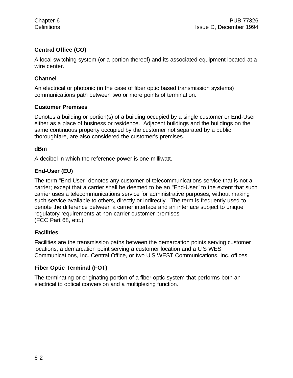# **Central Office (CO)**

A local switching system (or a portion thereof) and its associated equipment located at a wire center.

# **Channel**

An electrical or photonic (in the case of fiber optic based transmission systems) communications path between two or more points of termination.

# **Customer Premises**

Denotes a building or portion(s) of a building occupied by a single customer or End-User either as a place of business or residence. Adjacent buildings and the buildings on the same continuous property occupied by the customer not separated by a public thoroughfare, are also considered the customer's premises.

#### **dBm**

A decibel in which the reference power is one milliwatt.

# **End-User (EU)**

The term "End-User" denotes any customer of telecommunications service that is not a carrier; except that a carrier shall be deemed to be an "End-User" to the extent that such carrier uses a telecommunications service for administrative purposes, without making such service available to others, directly or indirectly. The term is frequently used to denote the difference between a carrier interface and an interface subject to unique regulatory requirements at non-carrier customer premises (FCC Part 68, etc.).

#### **Facilities**

Facilities are the transmission paths between the demarcation points serving customer locations, a demarcation point serving a customer location and a U S WEST Communications, Inc. Central Office, or two U S WEST Communications, Inc. offices.

# **Fiber Optic Terminal (FOT)**

The terminating or originating portion of a fiber optic system that performs both an electrical to optical conversion and a multiplexing function.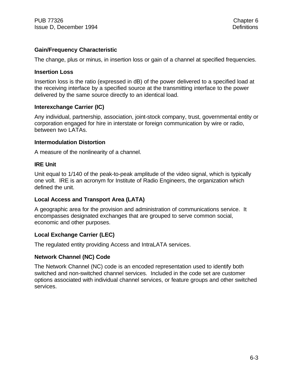# **Gain/Frequency Characteristic**

The change, plus or minus, in insertion loss or gain of a channel at specified frequencies.

#### **Insertion Loss**

Insertion loss is the ratio (expressed in dB) of the power delivered to a specified load at the receiving interface by a specified source at the transmitting interface to the power delivered by the same source directly to an identical load.

#### **Interexchange Carrier (IC)**

Any individual, partnership, association, joint-stock company, trust, governmental entity or corporation engaged for hire in interstate or foreign communication by wire or radio, between two LATAs.

#### **Intermodulation Distortion**

A measure of the nonlinearity of a channel.

#### **IRE Unit**

Unit equal to 1/140 of the peak-to-peak amplitude of the video signal, which is typically one volt. IRE is an acronym for Institute of Radio Engineers, the organization which defined the unit.

#### **Local Access and Transport Area (LATA)**

A geographic area for the provision and administration of communications service. It encompasses designated exchanges that are grouped to serve common social, economic and other purposes.

#### **Local Exchange Carrier (LEC)**

The regulated entity providing Access and IntraLATA services.

#### **Network Channel (NC) Code**

The Network Channel (NC) code is an encoded representation used to identify both switched and non-switched channel services. Included in the code set are customer options associated with individual channel services, or feature groups and other switched services.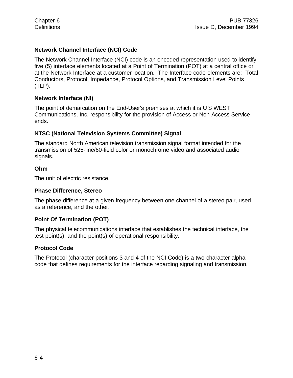# **Network Channel Interface (NCI) Code**

The Network Channel Interface (NCI) code is an encoded representation used to identify five (5) interface elements located at a Point of Termination (POT) at a central office or at the Network Interface at a customer location. The Interface code elements are: Total Conductors, Protocol, Impedance, Protocol Options, and Transmission Level Points (TLP).

#### **Network Interface (NI)**

The point of demarcation on the End-User's premises at which it is U S WEST Communications, Inc. responsibility for the provision of Access or Non-Access Service ends.

# **NTSC (National Television Systems Committee) Signal**

The standard North American television transmission signal format intended for the transmission of 525-line/60-field color or monochrome video and associated audio signals.

# **Ohm**

The unit of electric resistance.

#### **Phase Difference, Stereo**

The phase difference at a given frequency between one channel of a stereo pair, used as a reference, and the other.

#### **Point Of Termination (POT)**

The physical telecommunications interface that establishes the technical interface, the test point(s), and the point(s) of operational responsibility.

# **Protocol Code**

The Protocol (character positions 3 and 4 of the NCI Code) is a two-character alpha code that defines requirements for the interface regarding signaling and transmission.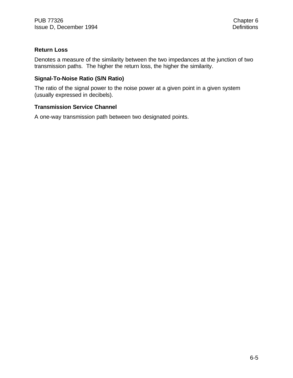## **Return Loss**

Denotes a measure of the similarity between the two impedances at the junction of two transmission paths. The higher the return loss, the higher the similarity.

# **Signal-To-Noise Ratio (S/N Ratio)**

The ratio of the signal power to the noise power at a given point in a given system (usually expressed in decibels).

# **Transmission Service Channel**

A one-way transmission path between two designated points.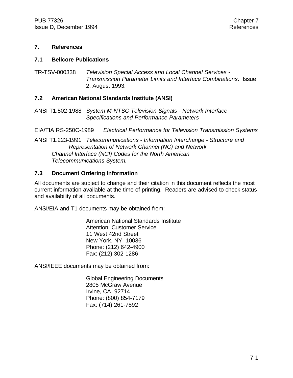### **7. References**

### **7.1 Bellcore Publications**

TR-TSV-000338 *Television Special Access and Local Channel Services - Transmission Parameter Limits and Interface Combinations*. Issue 2, August 1993.

# **7.2 American National Standards Institute (ANSI)**

ANSI T1.502-1988 *System M-NTSC Television Signals - Network Interface Specifications and Performance Parameters*

EIA/TIA RS-250C-1989 *Electrical Performance for Television Transmission Systems*

ANSI T1.223-1991 *Telecommunications - Information Interchange - Structure and Representation of Network Channel (NC) and Network Channel Interface (NCI) Codes for the North American Telecommunications System.*

# **7.3 Document Ordering Information**

All documents are subject to change and their citation in this document reflects the most current information available at the time of printing. Readers are advised to check status and availability of all documents.

ANSI/EIA and T1 documents may be obtained from:

American National Standards Institute Attention: Customer Service 11 West 42nd Street New York, NY 10036 Phone: (212) 642-4900 Fax: (212) 302-1286

ANSI/IEEE documents may be obtained from:

Global Engineering Documents 2805 McGraw Avenue Irvine, CA 92714 Phone: (800) 854-7179 Fax: (714) 261-7892